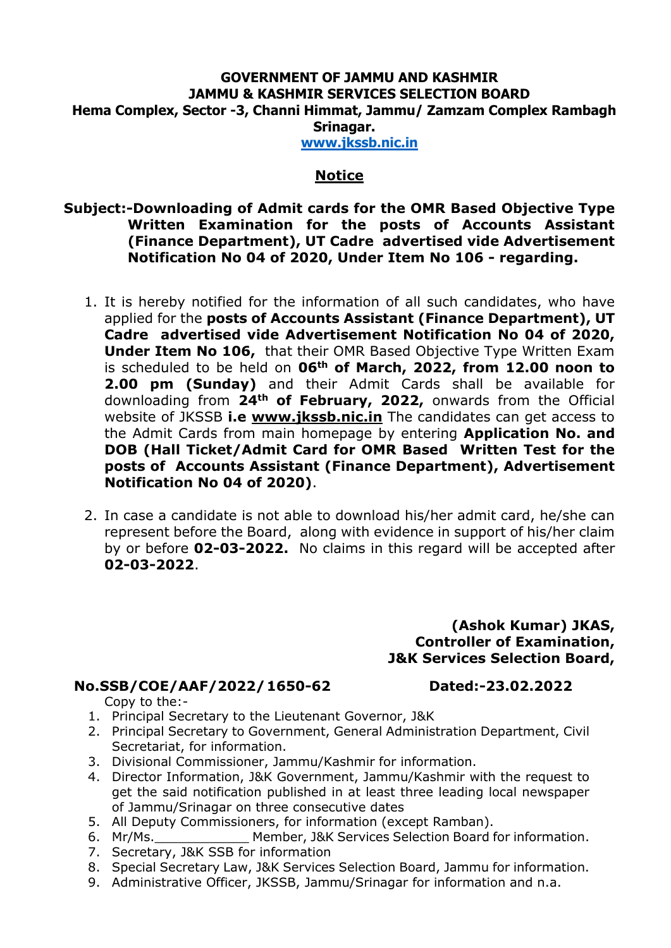# **GOVERNMENT OF JAMMU AND KASHMIR JAMMU & KASHMIR SERVICES SELECTION BOARD Hema Complex, Sector -3, Channi Himmat, Jammu/ Zamzam Complex Rambagh Srinagar.**

**[www.jkssb.nic.in](http://www.jkssb.nic.in/)**

### **Notice**

## **Subject:-Downloading of Admit cards for the OMR Based Objective Type Written Examination for the posts of Accounts Assistant (Finance Department), UT Cadre advertised vide Advertisement Notification No 04 of 2020, Under Item No 106 - regarding.**

- 1. It is hereby notified for the information of all such candidates, who have applied for the **posts of Accounts Assistant (Finance Department), UT Cadre advertised vide Advertisement Notification No 04 of 2020, Under Item No 106,** that their OMR Based Objective Type Written Exam is scheduled to be held on **06th of March, 2022, from 12.00 noon to 2.00 pm (Sunday)** and their Admit Cards shall be available for downloading from **24th of February, 2022,** onwards from the Official website of JKSSB **i.e [www.jkssb.nic.in](http://www.jkssb.nic.in/)** The candidates can get access to the Admit Cards from main homepage by entering **Application No. and DOB (Hall Ticket/Admit Card for OMR Based Written Test for the posts of Accounts Assistant (Finance Department), Advertisement Notification No 04 of 2020)**.
- 2. In case a candidate is not able to download his/her admit card, he/she can represent before the Board, along with evidence in support of his/her claim by or before **02-03-2022.** No claims in this regard will be accepted after **02-03-2022**.

#### **(Ashok Kumar) JKAS, Controller of Examination, J&K Services Selection Board,**

# **No.SSB/COE/AAF/2022/1650-62 Dated:-23.02.2022**

Copy to the:-

- 
- 1. Principal Secretary to the Lieutenant Governor, J&K
- 2. Principal Secretary to Government, General Administration Department, Civil Secretariat, for information.
- 3. Divisional Commissioner, Jammu/Kashmir for information.
- 4. Director Information, J&K Government, Jammu/Kashmir with the request to get the said notification published in at least three leading local newspaper of Jammu/Srinagar on three consecutive dates
- 5. All Deputy Commissioners, for information (except Ramban).
- 6. Mr/Ms.\_\_\_\_\_\_\_\_\_\_\_\_ Member, J&K Services Selection Board for information.
- 7. Secretary, J&K SSB for information
- 8. Special Secretary Law, J&K Services Selection Board, Jammu for information.
- 9. Administrative Officer, JKSSB, Jammu/Srinagar for information and n.a.